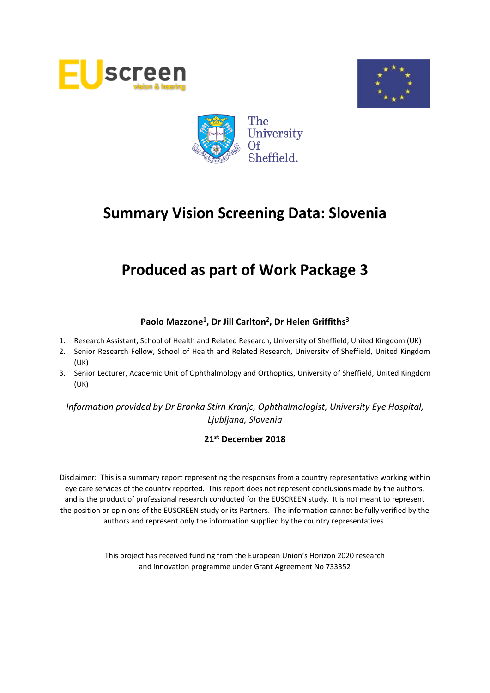





# **Produced as part of Work Package 3**

# **Paolo Mazzone<sup>1</sup> , Dr Jill Carlton<sup>2</sup> , Dr Helen Griffiths<sup>3</sup>**

- 1. Research Assistant, School of Health and Related Research, University of Sheffield, United Kingdom (UK)
- 2. Senior Research Fellow, School of Health and Related Research, University of Sheffield, United Kingdom (UK)
- 3. Senior Lecturer, Academic Unit of Ophthalmology and Orthoptics, University of Sheffield, United Kingdom (UK)

*Information provided by Dr Branka Stirn Kranjc, Ophthalmologist, University Eye Hospital, Ljubljana, Slovenia*

### **21st December 2018**

Disclaimer: This is a summary report representing the responses from a country representative working within eye care services of the country reported. This report does not represent conclusions made by the authors, and is the product of professional research conducted for the EUSCREEN study. It is not meant to represent the position or opinions of the EUSCREEN study or its Partners. The information cannot be fully verified by the authors and represent only the information supplied by the country representatives.

> This project has received funding from the European Union's Horizon 2020 research and innovation programme under Grant Agreement No 733352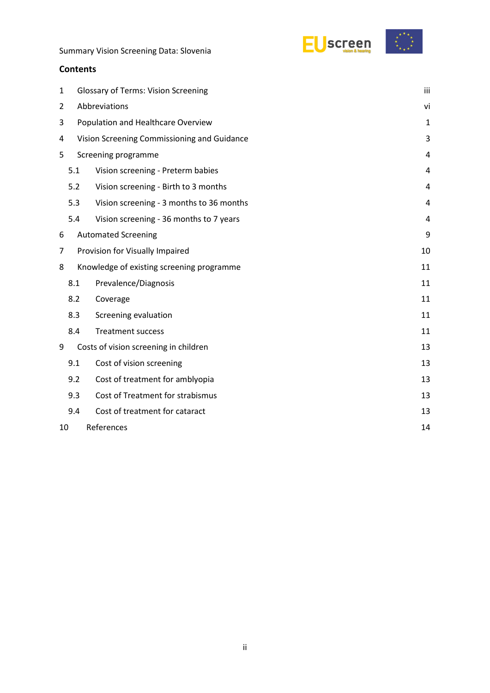



| 1  | <b>Glossary of Terms: Vision Screening</b>  |                                           |    |  |  |  |
|----|---------------------------------------------|-------------------------------------------|----|--|--|--|
| 2  | Abbreviations                               |                                           |    |  |  |  |
| 3  | Population and Healthcare Overview          |                                           |    |  |  |  |
| 4  | Vision Screening Commissioning and Guidance |                                           |    |  |  |  |
| 5  |                                             | Screening programme                       | 4  |  |  |  |
|    | 5.1                                         | Vision screening - Preterm babies         | 4  |  |  |  |
|    | 5.2                                         | Vision screening - Birth to 3 months      | 4  |  |  |  |
|    | 5.3                                         | Vision screening - 3 months to 36 months  | 4  |  |  |  |
|    | 5.4                                         | Vision screening - 36 months to 7 years   | 4  |  |  |  |
| 6  |                                             | <b>Automated Screening</b>                | 9  |  |  |  |
| 7  |                                             | Provision for Visually Impaired           | 10 |  |  |  |
| 8  |                                             | Knowledge of existing screening programme | 11 |  |  |  |
|    | 8.1                                         | Prevalence/Diagnosis                      | 11 |  |  |  |
|    | 8.2                                         | Coverage                                  | 11 |  |  |  |
|    | 8.3                                         | Screening evaluation                      | 11 |  |  |  |
|    | 8.4                                         | <b>Treatment success</b>                  | 11 |  |  |  |
| 9  |                                             | Costs of vision screening in children     | 13 |  |  |  |
|    | 9.1                                         | Cost of vision screening                  | 13 |  |  |  |
|    | 9.2                                         | Cost of treatment for amblyopia           | 13 |  |  |  |
|    | 9.3                                         | Cost of Treatment for strabismus          | 13 |  |  |  |
|    | 9.4                                         | Cost of treatment for cataract            | 13 |  |  |  |
| 10 |                                             | References                                | 14 |  |  |  |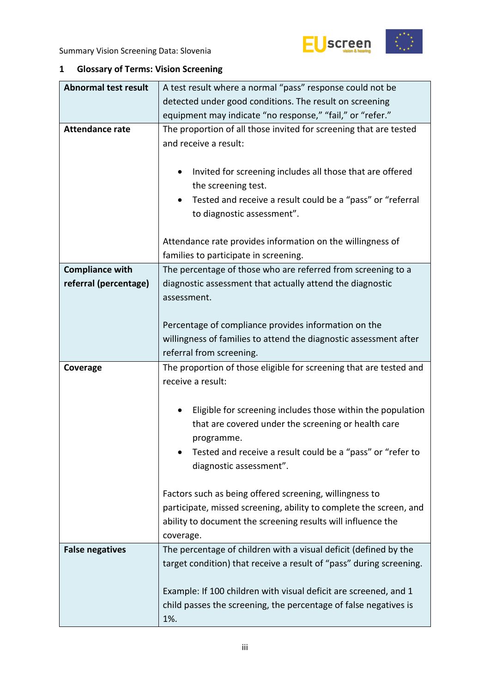



# <span id="page-2-0"></span>**1 Glossary of Terms: Vision Screening**

| <b>Abnormal test result</b> | A test result where a normal "pass" response could not be                                                                                                                                                                      |  |  |  |  |
|-----------------------------|--------------------------------------------------------------------------------------------------------------------------------------------------------------------------------------------------------------------------------|--|--|--|--|
|                             | detected under good conditions. The result on screening                                                                                                                                                                        |  |  |  |  |
|                             | equipment may indicate "no response," "fail," or "refer."                                                                                                                                                                      |  |  |  |  |
| <b>Attendance rate</b>      | The proportion of all those invited for screening that are tested<br>and receive a result:                                                                                                                                     |  |  |  |  |
|                             | Invited for screening includes all those that are offered<br>٠<br>the screening test.                                                                                                                                          |  |  |  |  |
|                             | Tested and receive a result could be a "pass" or "referral<br>to diagnostic assessment".                                                                                                                                       |  |  |  |  |
|                             | Attendance rate provides information on the willingness of<br>families to participate in screening.                                                                                                                            |  |  |  |  |
| <b>Compliance with</b>      | The percentage of those who are referred from screening to a                                                                                                                                                                   |  |  |  |  |
| referral (percentage)       | diagnostic assessment that actually attend the diagnostic<br>assessment.                                                                                                                                                       |  |  |  |  |
|                             | Percentage of compliance provides information on the                                                                                                                                                                           |  |  |  |  |
|                             | willingness of families to attend the diagnostic assessment after                                                                                                                                                              |  |  |  |  |
|                             | referral from screening.                                                                                                                                                                                                       |  |  |  |  |
| Coverage                    | The proportion of those eligible for screening that are tested and                                                                                                                                                             |  |  |  |  |
|                             | receive a result:                                                                                                                                                                                                              |  |  |  |  |
|                             |                                                                                                                                                                                                                                |  |  |  |  |
|                             | Eligible for screening includes those within the population<br>٠<br>that are covered under the screening or health care<br>programme.<br>Tested and receive a result could be a "pass" or "refer to<br>diagnostic assessment". |  |  |  |  |
|                             | Factors such as being offered screening, willingness to<br>participate, missed screening, ability to complete the screen, and<br>ability to document the screening results will influence the<br>coverage.                     |  |  |  |  |
| <b>False negatives</b>      | The percentage of children with a visual deficit (defined by the<br>target condition) that receive a result of "pass" during screening.                                                                                        |  |  |  |  |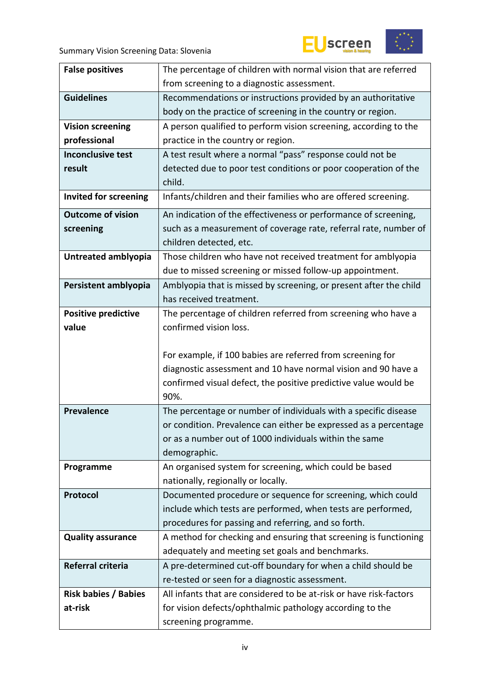



| <b>False positives</b>       | The percentage of children with normal vision that are referred                  |  |  |
|------------------------------|----------------------------------------------------------------------------------|--|--|
|                              | from screening to a diagnostic assessment.                                       |  |  |
| <b>Guidelines</b>            | Recommendations or instructions provided by an authoritative                     |  |  |
|                              | body on the practice of screening in the country or region.                      |  |  |
| <b>Vision screening</b>      | A person qualified to perform vision screening, according to the                 |  |  |
| professional                 | practice in the country or region.                                               |  |  |
| <b>Inconclusive test</b>     | A test result where a normal "pass" response could not be                        |  |  |
| result                       | detected due to poor test conditions or poor cooperation of the                  |  |  |
|                              | child.                                                                           |  |  |
| <b>Invited for screening</b> | Infants/children and their families who are offered screening.                   |  |  |
| <b>Outcome of vision</b>     | An indication of the effectiveness or performance of screening,                  |  |  |
| screening                    | such as a measurement of coverage rate, referral rate, number of                 |  |  |
|                              | children detected, etc.                                                          |  |  |
| Untreated amblyopia          | Those children who have not received treatment for amblyopia                     |  |  |
|                              | due to missed screening or missed follow-up appointment.                         |  |  |
| Persistent amblyopia         | Amblyopia that is missed by screening, or present after the child                |  |  |
|                              | has received treatment.                                                          |  |  |
| <b>Positive predictive</b>   | The percentage of children referred from screening who have a                    |  |  |
| value                        | confirmed vision loss.                                                           |  |  |
|                              |                                                                                  |  |  |
|                              |                                                                                  |  |  |
|                              | For example, if 100 babies are referred from screening for                       |  |  |
|                              | diagnostic assessment and 10 have normal vision and 90 have a                    |  |  |
|                              | confirmed visual defect, the positive predictive value would be                  |  |  |
|                              | 90%.                                                                             |  |  |
| <b>Prevalence</b>            | The percentage or number of individuals with a specific disease                  |  |  |
|                              | or condition. Prevalence can either be expressed as a percentage                 |  |  |
|                              | or as a number out of 1000 individuals within the same                           |  |  |
|                              | demographic.                                                                     |  |  |
| Programme                    | An organised system for screening, which could be based                          |  |  |
|                              | nationally, regionally or locally.                                               |  |  |
| Protocol                     | Documented procedure or sequence for screening, which could                      |  |  |
|                              | include which tests are performed, when tests are performed,                     |  |  |
|                              | procedures for passing and referring, and so forth.                              |  |  |
| <b>Quality assurance</b>     | A method for checking and ensuring that screening is functioning                 |  |  |
|                              | adequately and meeting set goals and benchmarks.                                 |  |  |
| Referral criteria            | A pre-determined cut-off boundary for when a child should be                     |  |  |
|                              | re-tested or seen for a diagnostic assessment.                                   |  |  |
| <b>Risk babies / Babies</b>  | All infants that are considered to be at-risk or have risk-factors               |  |  |
| at-risk                      | for vision defects/ophthalmic pathology according to the<br>screening programme. |  |  |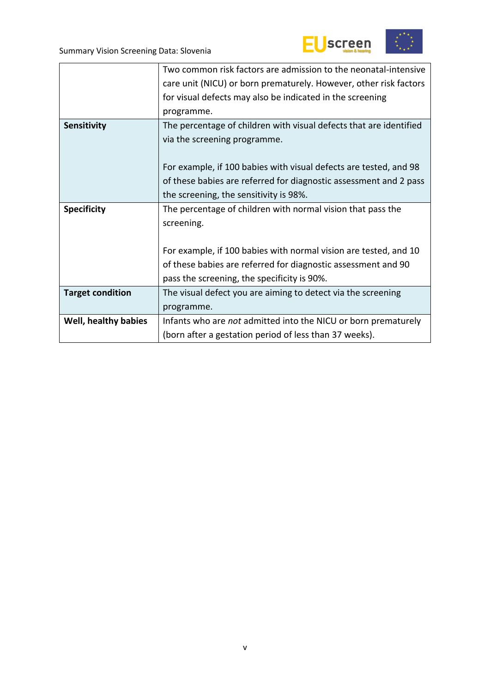



|                         | Two common risk factors are admission to the neonatal-intensive    |
|-------------------------|--------------------------------------------------------------------|
|                         | care unit (NICU) or born prematurely. However, other risk factors  |
|                         | for visual defects may also be indicated in the screening          |
|                         | programme.                                                         |
| Sensitivity             | The percentage of children with visual defects that are identified |
|                         | via the screening programme.                                       |
|                         |                                                                    |
|                         | For example, if 100 babies with visual defects are tested, and 98  |
|                         | of these babies are referred for diagnostic assessment and 2 pass  |
|                         | the screening, the sensitivity is 98%.                             |
| <b>Specificity</b>      | The percentage of children with normal vision that pass the        |
|                         | screening.                                                         |
|                         |                                                                    |
|                         | For example, if 100 babies with normal vision are tested, and 10   |
|                         | of these babies are referred for diagnostic assessment and 90      |
|                         | pass the screening, the specificity is 90%.                        |
| <b>Target condition</b> | The visual defect you are aiming to detect via the screening       |
|                         | programme.                                                         |
| Well, healthy babies    | Infants who are not admitted into the NICU or born prematurely     |
|                         |                                                                    |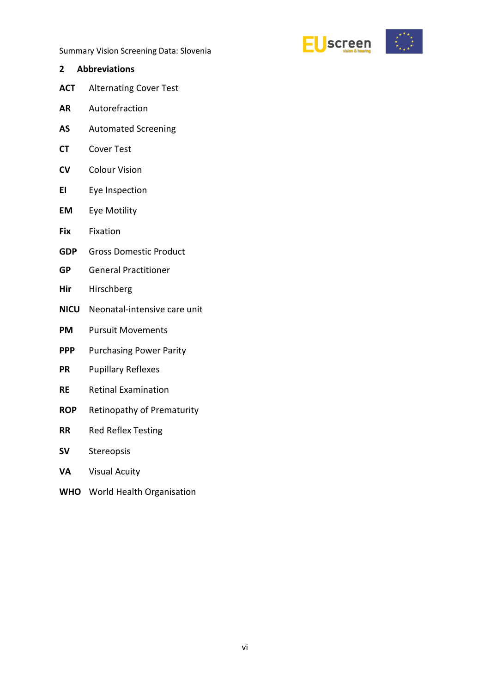

- <span id="page-5-0"></span>**2 Abbreviations ACT** Alternating Cover Test **AR** Autorefraction **AS** Automated Screening **CT** Cover Test **CV** Colour Vision **EI** Eye Inspection **EM** Eye Motility **Fix** Fixation **GDP** Gross Domestic Product **GP** General Practitioner **Hir** Hirschberg **NICU** Neonatal-intensive care unit **PM** Pursuit Movements
- **PPP** Purchasing Power Parity
- **PR** Pupillary Reflexes
- **RE** Retinal Examination
- **ROP** Retinopathy of Prematurity
- **RR** Red Reflex Testing
- **SV** Stereopsis
- **VA** Visual Acuity
- **WHO** World Health Organisation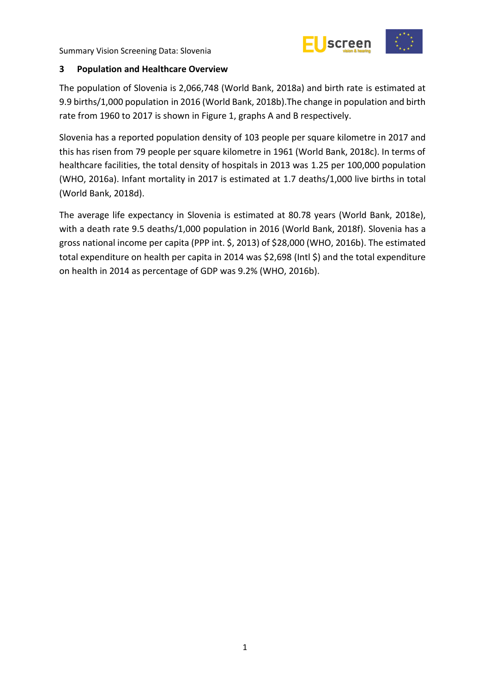



### <span id="page-6-0"></span>**3 Population and Healthcare Overview**

The population of Slovenia is 2,066,748 (World Bank, 2018a) and birth rate is estimated at 9.9 births/1,000 population in 2016 (World Bank, 2018b).The change in population and birth rate from 1960 to 2017 is shown in Figure 1, graphs A and B respectively.

Slovenia has a reported population density of 103 people per square kilometre in 2017 and this has risen from 79 people per square kilometre in 1961 (World Bank, 2018c). In terms of healthcare facilities, the total density of hospitals in 2013 was 1.25 per 100,000 population (WHO, 2016a). Infant mortality in 2017 is estimated at 1.7 deaths/1,000 live births in total (World Bank, 2018d).

The average life expectancy in Slovenia is estimated at 80.78 years (World Bank, 2018e), with a death rate 9.5 deaths/1,000 population in 2016 (World Bank, 2018f). Slovenia has a gross national income per capita (PPP int. \$, 2013) of \$28,000 (WHO, 2016b). The estimated total expenditure on health per capita in 2014 was \$2,698 (Intl \$) and the total expenditure on health in 2014 as percentage of GDP was 9.2% (WHO, 2016b).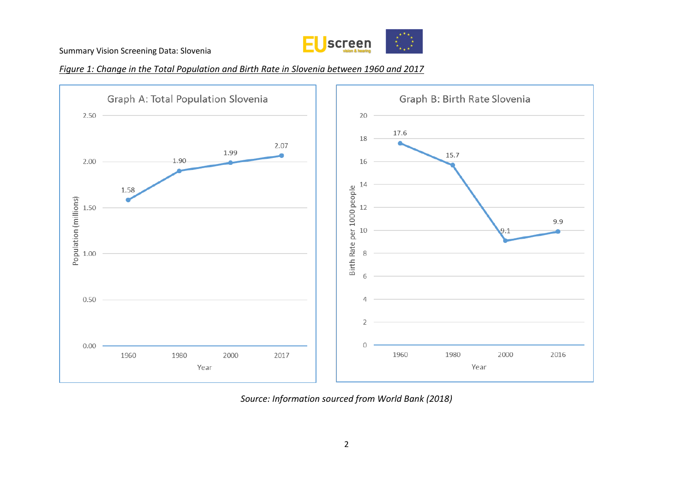

### *Figure 1: Change in the Total Population and Birth Rate in Slovenia between 1960 and 2017*



*Source: Information sourced from World Bank (2018)*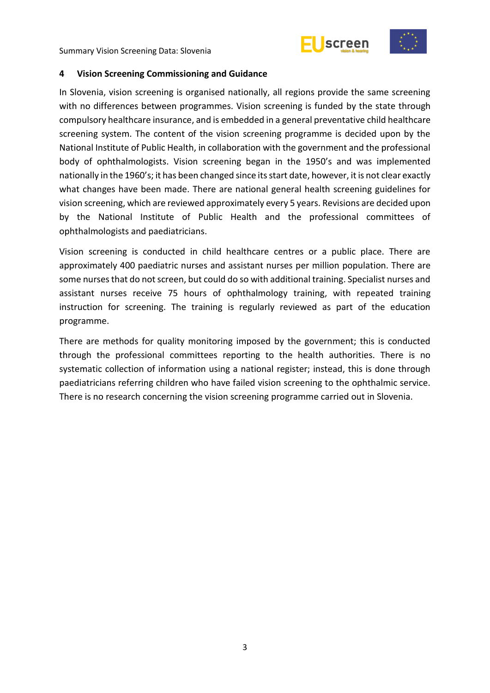



### <span id="page-8-0"></span>**4 Vision Screening Commissioning and Guidance**

In Slovenia, vision screening is organised nationally, all regions provide the same screening with no differences between programmes. Vision screening is funded by the state through compulsory healthcare insurance, and is embedded in a general preventative child healthcare screening system. The content of the vision screening programme is decided upon by the National Institute of Public Health, in collaboration with the government and the professional body of ophthalmologists. Vision screening began in the 1950's and was implemented nationally in the 1960's; it has been changed since its start date, however, it is not clear exactly what changes have been made. There are national general health screening guidelines for vision screening, which are reviewed approximately every 5 years. Revisions are decided upon by the National Institute of Public Health and the professional committees of ophthalmologists and paediatricians.

Vision screening is conducted in child healthcare centres or a public place. There are approximately 400 paediatric nurses and assistant nurses per million population. There are some nurses that do not screen, but could do so with additional training. Specialist nurses and assistant nurses receive 75 hours of ophthalmology training, with repeated training instruction for screening. The training is regularly reviewed as part of the education programme.

There are methods for quality monitoring imposed by the government; this is conducted through the professional committees reporting to the health authorities. There is no systematic collection of information using a national register; instead, this is done through paediatricians referring children who have failed vision screening to the ophthalmic service. There is no research concerning the vision screening programme carried out in Slovenia.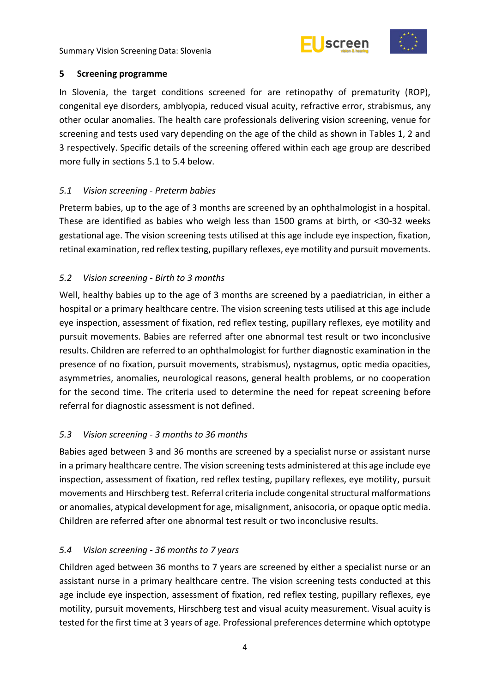



### <span id="page-9-0"></span>**5 Screening programme**

In Slovenia, the target conditions screened for are retinopathy of prematurity (ROP), congenital eye disorders, amblyopia, reduced visual acuity, refractive error, strabismus, any other ocular anomalies. The health care professionals delivering vision screening, venue for screening and tests used vary depending on the age of the child as shown in Tables 1, 2 and 3 respectively. Specific details of the screening offered within each age group are described more fully in sections 5.1 to 5.4 below.

## <span id="page-9-1"></span>*5.1 Vision screening - Preterm babies*

Preterm babies, up to the age of 3 months are screened by an ophthalmologist in a hospital. These are identified as babies who weigh less than 1500 grams at birth, or <30-32 weeks gestational age. The vision screening tests utilised at this age include eye inspection, fixation, retinal examination, red reflex testing, pupillary reflexes, eye motility and pursuit movements.

## <span id="page-9-2"></span>*5.2 Vision screening - Birth to 3 months*

Well, healthy babies up to the age of 3 months are screened by a paediatrician, in either a hospital or a primary healthcare centre. The vision screening tests utilised at this age include eye inspection, assessment of fixation, red reflex testing, pupillary reflexes, eye motility and pursuit movements. Babies are referred after one abnormal test result or two inconclusive results. Children are referred to an ophthalmologist for further diagnostic examination in the presence of no fixation, pursuit movements, strabismus), nystagmus, optic media opacities, asymmetries, anomalies, neurological reasons, general health problems, or no cooperation for the second time. The criteria used to determine the need for repeat screening before referral for diagnostic assessment is not defined.

# <span id="page-9-3"></span>*5.3 Vision screening - 3 months to 36 months*

Babies aged between 3 and 36 months are screened by a specialist nurse or assistant nurse in a primary healthcare centre. The vision screening tests administered at this age include eye inspection, assessment of fixation, red reflex testing, pupillary reflexes, eye motility, pursuit movements and Hirschberg test. Referral criteria include congenital structural malformations or anomalies, atypical development for age, misalignment, anisocoria, or opaque optic media. Children are referred after one abnormal test result or two inconclusive results.

### <span id="page-9-4"></span>*5.4 Vision screening - 36 months to 7 years*

Children aged between 36 months to 7 years are screened by either a specialist nurse or an assistant nurse in a primary healthcare centre. The vision screening tests conducted at this age include eye inspection, assessment of fixation, red reflex testing, pupillary reflexes, eye motility, pursuit movements, Hirschberg test and visual acuity measurement. Visual acuity is tested for the first time at 3 years of age. Professional preferences determine which optotype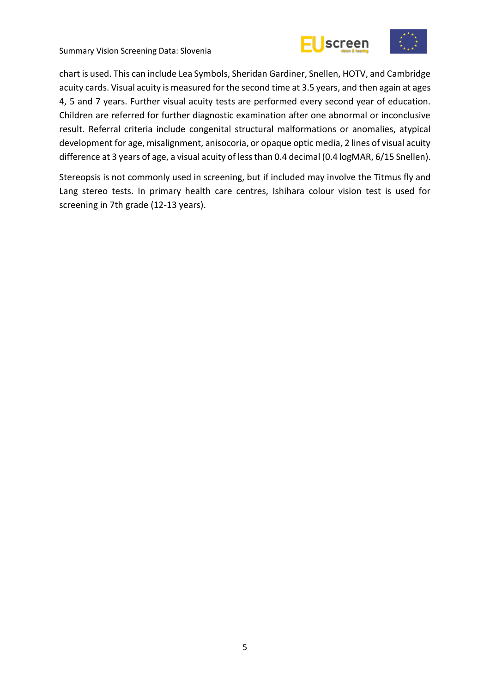





chart is used. This can include Lea Symbols, Sheridan Gardiner, Snellen, HOTV, and Cambridge acuity cards. Visual acuity is measured for the second time at 3.5 years, and then again at ages 4, 5 and 7 years. Further visual acuity tests are performed every second year of education. Children are referred for further diagnostic examination after one abnormal or inconclusive result. Referral criteria include congenital structural malformations or anomalies, atypical development for age, misalignment, anisocoria, or opaque optic media, 2 lines of visual acuity difference at 3 years of age, a visual acuity of less than 0.4 decimal (0.4 logMAR, 6/15 Snellen).

Stereopsis is not commonly used in screening, but if included may involve the Titmus fly and Lang stereo tests. In primary health care centres, Ishihara colour vision test is used for screening in 7th grade (12-13 years).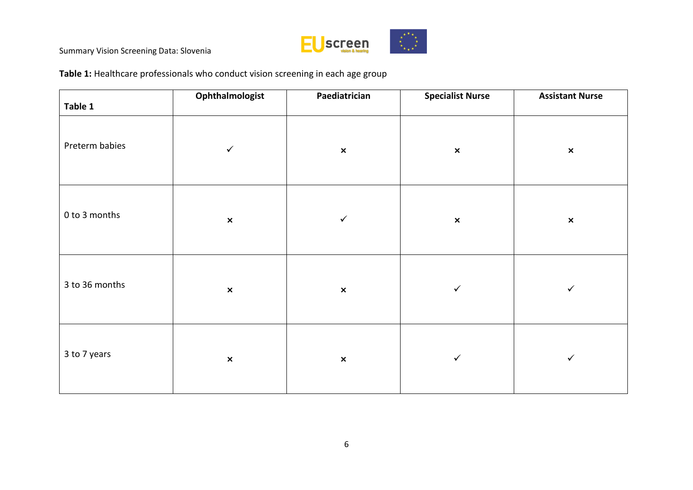

**Table 1:** Healthcare professionals who conduct vision screening in each age group

| Table 1        | Ophthalmologist | Paediatrician  | <b>Specialist Nurse</b> | <b>Assistant Nurse</b> |
|----------------|-----------------|----------------|-------------------------|------------------------|
| Preterm babies | $\checkmark$    | $\pmb{\times}$ | $\pmb{\times}$          | $\pmb{\times}$         |
| 0 to 3 months  | $\pmb{\times}$  | $\checkmark$   | $\pmb{\times}$          | $\pmb{\times}$         |
| 3 to 36 months | $\pmb{\times}$  | $\pmb{\times}$ | $\checkmark$            | $\checkmark$           |
| 3 to 7 years   | $\pmb{\times}$  | $\pmb{\times}$ | $\checkmark$            | $\checkmark$           |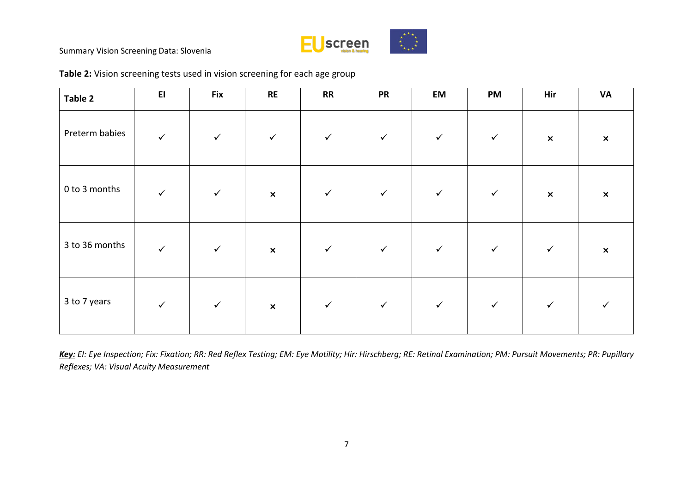

| Table 2        | E1           | <b>Fix</b>   | <b>RE</b>                 | <b>RR</b>    | <b>PR</b>    | EM           | PM           | Hir                       | <b>VA</b>      |
|----------------|--------------|--------------|---------------------------|--------------|--------------|--------------|--------------|---------------------------|----------------|
| Preterm babies | $\checkmark$ | $\checkmark$ | $\checkmark$              | $\checkmark$ | $\checkmark$ | $\checkmark$ | $\checkmark$ | $\boldsymbol{\mathsf{x}}$ | $\pmb{\times}$ |
| 0 to 3 months  | $\checkmark$ | $\checkmark$ | $\boldsymbol{\mathsf{x}}$ | $\checkmark$ | $\checkmark$ | $\checkmark$ | $\checkmark$ | $\boldsymbol{\mathsf{x}}$ | $\pmb{\times}$ |
| 3 to 36 months | $\checkmark$ | $\checkmark$ | $\pmb{\times}$            | $\checkmark$ | $\checkmark$ | $\checkmark$ | $\checkmark$ | $\checkmark$              | $\pmb{\times}$ |
| 3 to 7 years   | $\checkmark$ | $\checkmark$ | $\pmb{\times}$            | $\checkmark$ | $\checkmark$ | $\checkmark$ | $\checkmark$ | $\checkmark$              |                |

# **Table 2:** Vision screening tests used in vision screening for each age group

*Key: EI: Eye Inspection; Fix: Fixation; RR: Red Reflex Testing; EM: Eye Motility; Hir: Hirschberg; RE: Retinal Examination; PM: Pursuit Movements; PR: Pupillary Reflexes; VA: Visual Acuity Measurement*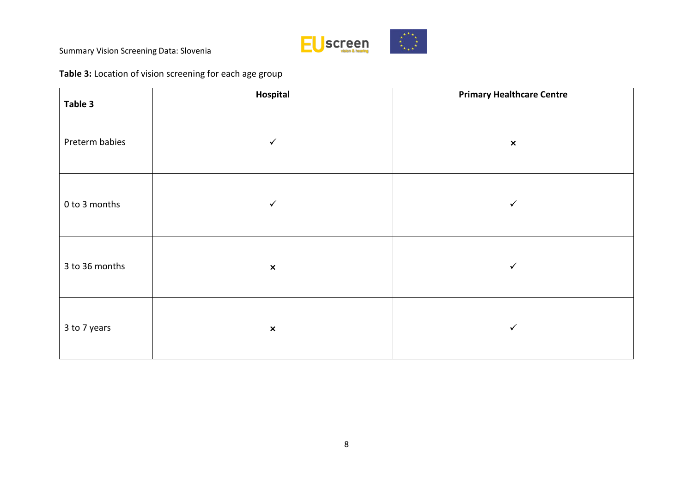

# **Table 3:** Location of vision screening for each age group

| Table 3        | Hospital                  | <b>Primary Healthcare Centre</b> |
|----------------|---------------------------|----------------------------------|
| Preterm babies | ✓                         | $\pmb{\times}$                   |
| 0 to 3 months  | $\checkmark$              | $\checkmark$                     |
| 3 to 36 months | $\pmb{\times}$            | $\checkmark$                     |
| 3 to 7 years   | $\boldsymbol{\mathsf{x}}$ | $\checkmark$                     |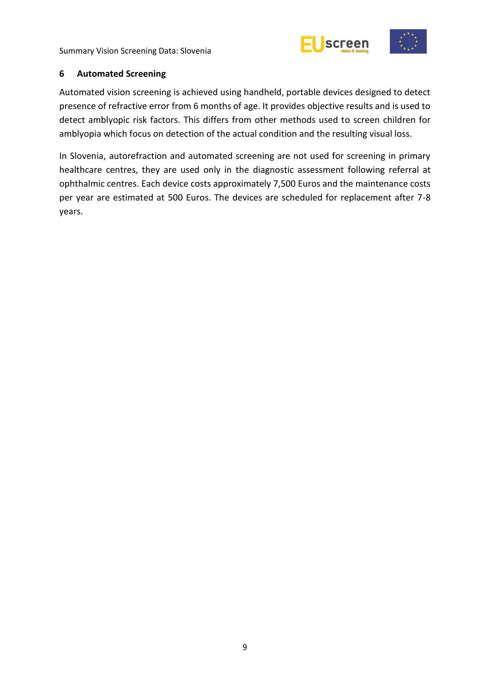



### <span id="page-14-0"></span>**6 Automated Screening**

Automated vision screening is achieved using handheld, portable devices designed to detect presence of refractive error from 6 months of age. It provides objective results and is used to detect amblyopic risk factors. This differs from other methods used to screen children for amblyopia which focus on detection of the actual condition and the resulting visual loss.

In Slovenia, autorefraction and automated screening are not used for screening in primary healthcare centres, they are used only in the diagnostic assessment following referral at ophthalmic centres. Each device costs approximately 7,500 Euros and the maintenance costs per year are estimated at 500 Euros. The devices are scheduled for replacement after 7-8 years.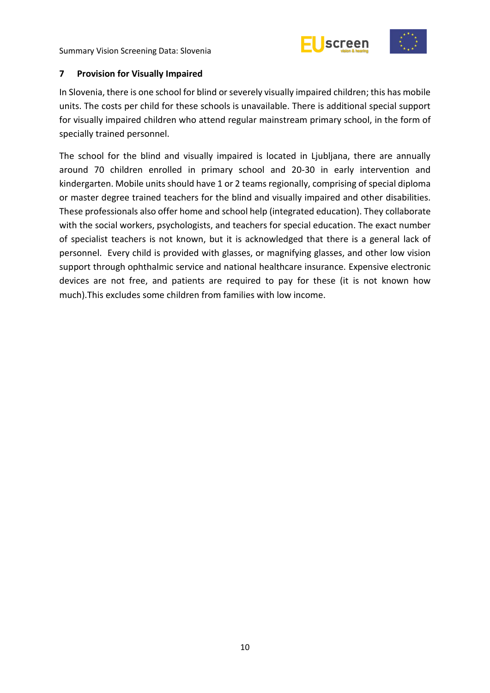



### <span id="page-15-0"></span>**7 Provision for Visually Impaired**

In Slovenia, there is one school for blind or severely visually impaired children; this has mobile units. The costs per child for these schools is unavailable. There is additional special support for visually impaired children who attend regular mainstream primary school, in the form of specially trained personnel.

The school for the blind and visually impaired is located in Ljubljana, there are annually around 70 children enrolled in primary school and 20-30 in early intervention and kindergarten. Mobile units should have 1 or 2 teams regionally, comprising of special diploma or master degree trained teachers for the blind and visually impaired and other disabilities. These professionals also offer home and school help (integrated education). They collaborate with the social workers, psychologists, and teachers for special education. The exact number of specialist teachers is not known, but it is acknowledged that there is a general lack of personnel. Every child is provided with glasses, or magnifying glasses, and other low vision support through ophthalmic service and national healthcare insurance. Expensive electronic devices are not free, and patients are required to pay for these (it is not known how much).This excludes some children from families with low income.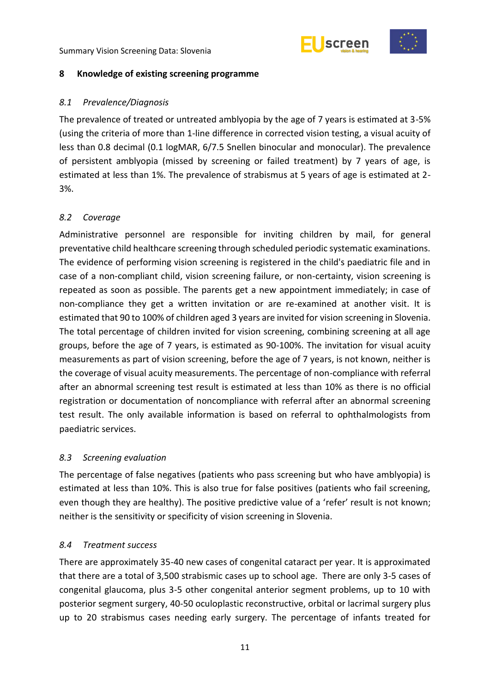



### <span id="page-16-0"></span>**8 Knowledge of existing screening programme**

### <span id="page-16-1"></span>*8.1 Prevalence/Diagnosis*

The prevalence of treated or untreated amblyopia by the age of 7 years is estimated at 3-5% (using the criteria of more than 1-line difference in corrected vision testing, a visual acuity of less than 0.8 decimal (0.1 logMAR, 6/7.5 Snellen binocular and monocular). The prevalence of persistent amblyopia (missed by screening or failed treatment) by 7 years of age, is estimated at less than 1%. The prevalence of strabismus at 5 years of age is estimated at 2- 3%.

### <span id="page-16-2"></span>*8.2 Coverage*

Administrative personnel are responsible for inviting children by mail, for general preventative child healthcare screening through scheduled periodic systematic examinations. The evidence of performing vision screening is registered in the child's paediatric file and in case of a non-compliant child, vision screening failure, or non-certainty, vision screening is repeated as soon as possible. The parents get a new appointment immediately; in case of non-compliance they get a written invitation or are re-examined at another visit. It is estimated that 90 to 100% of children aged 3 years are invited for vision screening in Slovenia. The total percentage of children invited for vision screening, combining screening at all age groups, before the age of 7 years, is estimated as 90-100%. The invitation for visual acuity measurements as part of vision screening, before the age of 7 years, is not known, neither is the coverage of visual acuity measurements. The percentage of non-compliance with referral after an abnormal screening test result is estimated at less than 10% as there is no official registration or documentation of noncompliance with referral after an abnormal screening test result. The only available information is based on referral to ophthalmologists from paediatric services.

### <span id="page-16-3"></span>*8.3 Screening evaluation*

The percentage of false negatives (patients who pass screening but who have amblyopia) is estimated at less than 10%. This is also true for false positives (patients who fail screening, even though they are healthy). The positive predictive value of a 'refer' result is not known; neither is the sensitivity or specificity of vision screening in Slovenia.

### <span id="page-16-4"></span>*8.4 Treatment success*

There are approximately 35-40 new cases of congenital cataract per year. It is approximated that there are a total of 3,500 strabismic cases up to school age. There are only 3-5 cases of congenital glaucoma, plus 3-5 other congenital anterior segment problems, up to 10 with posterior segment surgery, 40-50 oculoplastic reconstructive, orbital or lacrimal surgery plus up to 20 strabismus cases needing early surgery. The percentage of infants treated for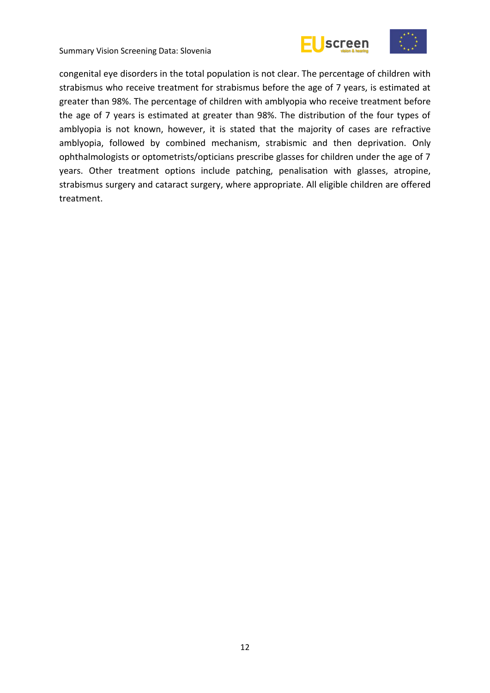



congenital eye disorders in the total population is not clear. The percentage of children with strabismus who receive treatment for strabismus before the age of 7 years, is estimated at greater than 98%. The percentage of children with amblyopia who receive treatment before the age of 7 years is estimated at greater than 98%. The distribution of the four types of amblyopia is not known, however, it is stated that the majority of cases are refractive amblyopia, followed by combined mechanism, strabismic and then deprivation. Only ophthalmologists or optometrists/opticians prescribe glasses for children under the age of 7 years. Other treatment options include patching, penalisation with glasses, atropine, strabismus surgery and cataract surgery, where appropriate. All eligible children are offered treatment.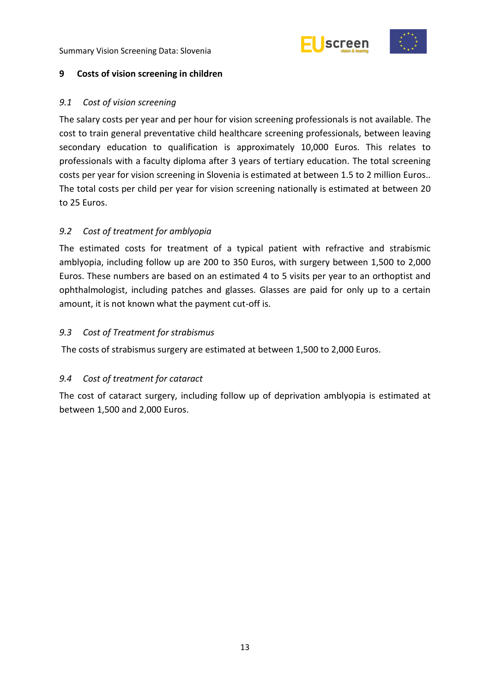



### <span id="page-18-0"></span>**9 Costs of vision screening in children**

### <span id="page-18-1"></span>*9.1 Cost of vision screening*

The salary costs per year and per hour for vision screening professionals is not available. The cost to train general preventative child healthcare screening professionals, between leaving secondary education to qualification is approximately 10,000 Euros. This relates to professionals with a faculty diploma after 3 years of tertiary education. The total screening costs per year for vision screening in Slovenia is estimated at between 1.5 to 2 million Euros.. The total costs per child per year for vision screening nationally is estimated at between 20 to 25 Euros.

### <span id="page-18-2"></span>*9.2 Cost of treatment for amblyopia*

The estimated costs for treatment of a typical patient with refractive and strabismic amblyopia, including follow up are 200 to 350 Euros, with surgery between 1,500 to 2,000 Euros. These numbers are based on an estimated 4 to 5 visits per year to an orthoptist and ophthalmologist, including patches and glasses. Glasses are paid for only up to a certain amount, it is not known what the payment cut-off is.

### <span id="page-18-3"></span>*9.3 Cost of Treatment for strabismus*

The costs of strabismus surgery are estimated at between 1,500 to 2,000 Euros.

### <span id="page-18-4"></span>*9.4 Cost of treatment for cataract*

The cost of cataract surgery, including follow up of deprivation amblyopia is estimated at between 1,500 and 2,000 Euros.